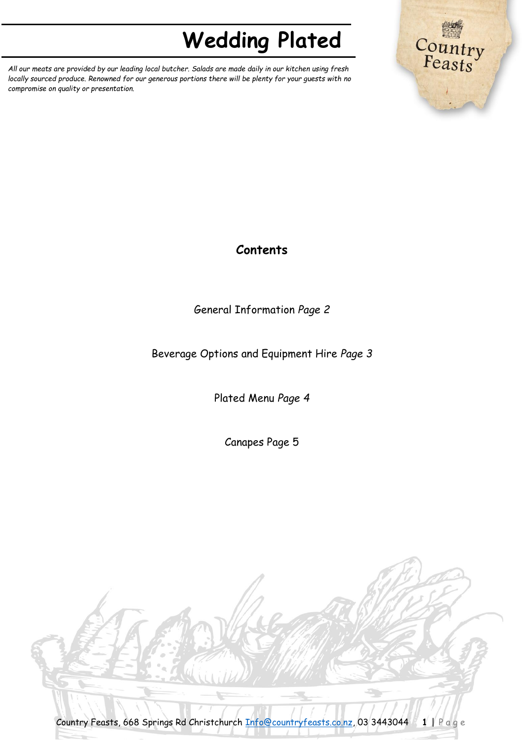*All our meats are provided by our leading local butcher. Salads are made daily in our kitchen using fresh locally sourced produce. Renowned for our generous portions there will be plenty for your guests with no compromise on quality or presentation.*



### **Contents**

General Information *Page 2*

Beverage Options and Equipment Hire *Page 3*

Plated Menu *Page 4*

Canapes Page 5

Country Feasts, 668 Springs Rd Christchurch [Info@countryfeasts.co.nz,](mailto:Info@countryfeasts.co.nz) 03 3443044 **1** | P a g e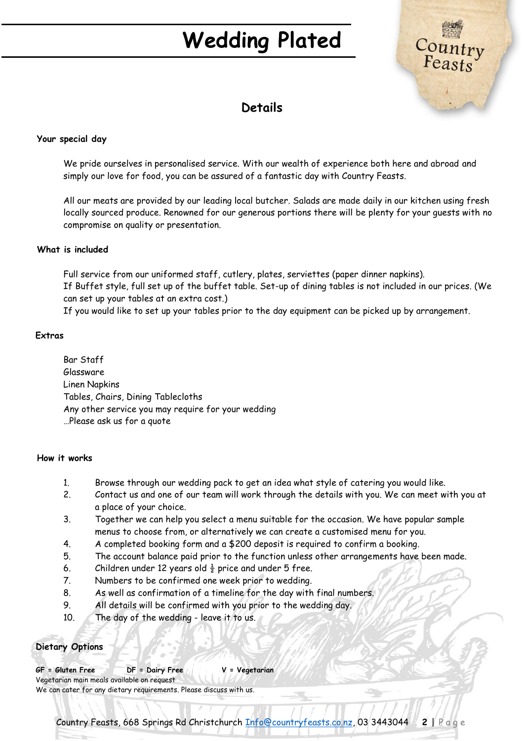

### **Details**

#### **Your special day**

We pride ourselves in personalised service. With our wealth of experience both here and abroad and simply our love for food, you can be assured of a fantastic day with Country Feasts.

All our meats are provided by our leading local butcher. Salads are made daily in our kitchen using fresh locally sourced produce. Renowned for our generous portions there will be plenty for your guests with no compromise on quality or presentation.

#### **What is included**

Full service from our uniformed staff, cutlery, plates, serviettes (paper dinner napkins). If Buffet style, full set up of the buffet table. Set-up of dining tables is not included in our prices. (We can set up your tables at an extra cost.)

If you would like to set up your tables prior to the day equipment can be picked up by arrangement.

#### **Extras**

Bar Staff Glassware Linen Napkins Tables, Chairs, Dining Tablecloths Any other service you may require for your wedding …Please ask us for a quote

#### **How it works**

- 1. Browse through our wedding pack to get an idea what style of catering you would like.
- 2. Contact us and one of our team will work through the details with you. We can meet with you at a place of your choice.
- 3. Together we can help you select a menu suitable for the occasion. We have popular sample menus to choose from, or alternatively we can create a customised menu for you.
- 4. A completed booking form and a \$200 deposit is required to confirm a booking.
- 5. The account balance paid prior to the function unless other arrangements have been made.
- 6. Children under 12 years old  $\frac{1}{2}$  price and under 5 free.
- 7. Numbers to be confirmed one week prior to wedding.
- 8. As well as confirmation of a timeline for the day with final numbers.
- 9. All details will be confirmed with you prior to the wedding day.
- 10. The day of the wedding leave it to us.

#### **Dietary Options**

**GF = Gluten Free DF = Dairy Free V = Vegetarian** Vegetarian main meals available on request We can cater for any dietary requirements. Please discuss with us.

Country Feasts, 668 Springs Rd Christchurch [Info@countryfeasts.co.nz,](mailto:Info@countryfeasts.co.nz) 03 3443044 **2** | P a g e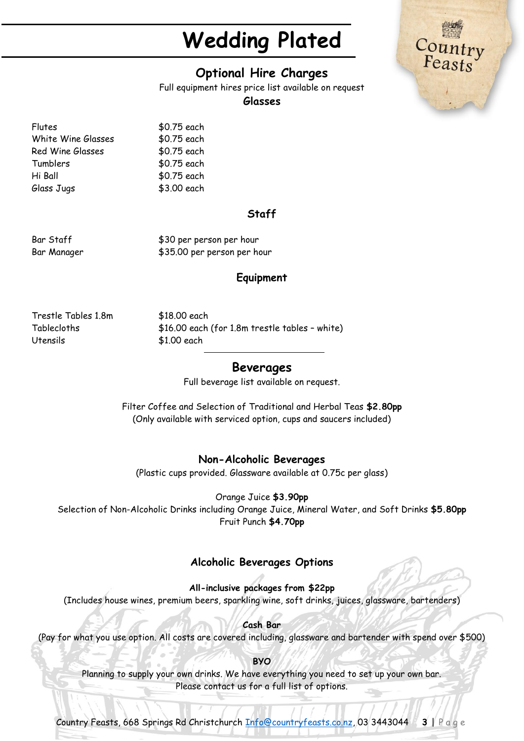

Full equipment hires price list available on request

#### **Glasses**

Flutes \$0.75 each White Wine Glasses \$0.75 each Red Wine Glasses \$0.75 each Tumblers \$0.75 each Hi Ball \$0.75 each Glass Jugs \$3.00 each

### **Staff**

Bar Staff  $$30$  per person per hour Bar Manager  $$35.00$  per person per hour

#### **Equipment**

Trestle Tables 1.8m \$18.00 each Utensils \$1.00 each

Tablecloths \$16.00 each (for 1.8m trestle tables – white)

#### **Beverages**

Full beverage list available on request.

Filter Coffee and Selection of Traditional and Herbal Teas **\$2.80pp** (Only available with serviced option, cups and saucers included)

#### **Non-Alcoholic Beverages**

(Plastic cups provided. Glassware available at 0.75c per glass)

Orange Juice **\$3.90pp**

Selection of Non-Alcoholic Drinks including Orange Juice, Mineral Water, and Soft Drinks **\$5.80pp** Fruit Punch **\$4.70pp**

#### **Alcoholic Beverages Options**

**All-inclusive packages from \$22pp** (Includes house wines, premium beers, sparkling wine, soft drinks, juices, glassware, bartenders)

**Cash Bar** (Pay for what you use option. All costs are covered including, glassware and bartender with spend over \$500)

#### **BYO**

Planning to supply your own drinks. We have everything you need to set up your own bar. Please contact us for a full list of options.

Country Feasts, 668 Springs Rd Christchurch [Info@countryfeasts.co.nz,](mailto:Info@countryfeasts.co.nz) 03 3443044 **3** | P a g e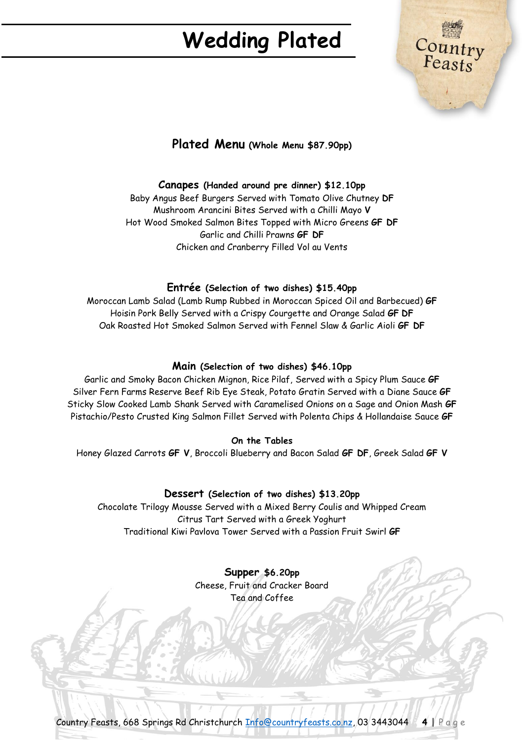

### **Plated Menu (Whole Menu \$87.90pp)**

#### **Canapes (Handed around pre dinner) \$12.10pp**

Baby Angus Beef Burgers Served with Tomato Olive Chutney **DF** Mushroom Arancini Bites Served with a Chilli Mayo **V** Hot Wood Smoked Salmon Bites Topped with Micro Greens **GF DF** Garlic and Chilli Prawns **GF DF** Chicken and Cranberry Filled Vol au Vents

#### **Entrée (Selection of two dishes) \$15.40pp**

Moroccan Lamb Salad (Lamb Rump Rubbed in Moroccan Spiced Oil and Barbecued) **GF** Hoisin Pork Belly Served with a Crispy Courgette and Orange Salad **GF DF** Oak Roasted Hot Smoked Salmon Served with Fennel Slaw & Garlic Aioli **GF DF**

#### **Main (Selection of two dishes) \$46.10pp**

Garlic and Smoky Bacon Chicken Mignon, Rice Pilaf, Served with a Spicy Plum Sauce **GF** Silver Fern Farms Reserve Beef Rib Eye Steak, Potato Gratin Served with a Diane Sauce **GF** Sticky Slow Cooked Lamb Shank Served with Caramelised Onions on a Sage and Onion Mash **GF** Pistachio/Pesto Crusted King Salmon Fillet Served with Polenta Chips & Hollandaise Sauce **GF**

#### **On the Tables**

Honey Glazed Carrots **GF V**, Broccoli Blueberry and Bacon Salad **GF DF**, Greek Salad **GF V**

#### **Dessert (Selection of two dishes) \$13.20pp**

Chocolate Trilogy Mousse Served with a Mixed Berry Coulis and Whipped Cream Citrus Tart Served with a Greek Yoghurt Traditional Kiwi Pavlova Tower Served with a Passion Fruit Swirl **GF**

#### **Supper \$6.20pp** Cheese, Fruit and Cracker Board Tea and Coffee

Country Feasts, 668 Springs Rd Christchurch [Info@countryfeasts.co.nz,](mailto:Info@countryfeasts.co.nz) 03 3443044 **4** | P a g e